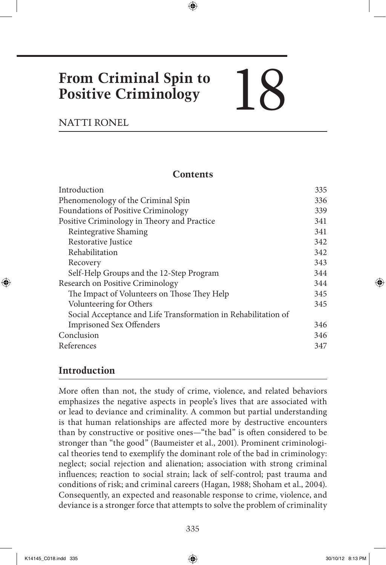# 18

NATTI RONEL

# **Contents**

 $\bigoplus$ 

| Introduction                                                   | 335 |
|----------------------------------------------------------------|-----|
| Phenomenology of the Criminal Spin                             | 336 |
| Foundations of Positive Criminology                            | 339 |
| Positive Criminology in Theory and Practice                    | 341 |
| Reintegrative Shaming                                          | 341 |
| Restorative Justice                                            | 342 |
| Rehabilitation                                                 | 342 |
| Recovery                                                       | 343 |
| Self-Help Groups and the 12-Step Program                       | 344 |
| Research on Positive Criminology                               | 344 |
| The Impact of Volunteers on Those They Help                    | 345 |
| Volunteering for Others                                        | 345 |
| Social Acceptance and Life Transformation in Rehabilitation of |     |
| <b>Imprisoned Sex Offenders</b>                                | 346 |
| Conclusion                                                     | 346 |
| References                                                     | 347 |
|                                                                |     |

# **Introduction**

⊕

More often than not, the study of crime, violence, and related behaviors emphasizes the negative aspects in people's lives that are associated with or lead to deviance and criminality. A common but partial understanding is that human relationships are affected more by destructive encounters than by constructive or positive ones—"the bad" is often considered to be stronger than "the good" (Baumeister et al., 2001). Prominent criminological theories tend to exemplify the dominant role of the bad in criminology: neglect; social rejection and alienation; association with strong criminal influences; reaction to social strain; lack of self-control; past trauma and conditions of risk; and criminal careers (Hagan, 1988; Shoham et al., 2004). Consequently, an expected and reasonable response to crime, violence, and deviance is a stronger force that attempts to solve the problem of criminality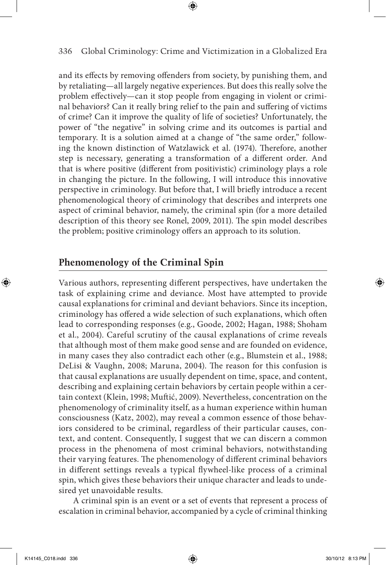$\bigoplus$ 

and its effects by removing offenders from society, by punishing them, and by retaliating—all largely negative experiences. But does this really solve the problem effectively—can it stop people from engaging in violent or criminal behaviors? Can it really bring relief to the pain and suffering of victims of crime? Can it improve the quality of life of societies? Unfortunately, the power of "the negative" in solving crime and its outcomes is partial and temporary. It is a solution aimed at a change of "the same order," following the known distinction of Watzlawick et al. (1974). Therefore, another step is necessary, generating a transformation of a different order. And that is where positive (different from positivistic) criminology plays a role in changing the picture. In the following, I will introduce this innovative perspective in criminology. But before that, I will briefly introduce a recent phenomenological theory of criminology that describes and interprets one aspect of criminal behavior, namely, the criminal spin (for a more detailed description of this theory see Ronel, 2009, 2011). The spin model describes the problem; positive criminology offers an approach to its solution.

# **Phenomenology of the Criminal Spin**

Various authors, representing different perspectives, have undertaken the task of explaining crime and deviance. Most have attempted to provide causal explanations for criminal and deviant behaviors. Since its inception, criminology has offered a wide selection of such explanations, which often lead to corresponding responses (e.g., Goode, 2002; Hagan, 1988; Shoham et al., 2004). Careful scrutiny of the causal explanations of crime reveals that although most of them make good sense and are founded on evidence, in many cases they also contradict each other (e.g., Blumstein et al., 1988; DeLisi & Vaughn, 2008; Maruna, 2004). The reason for this confusion is that causal explanations are usually dependent on time, space, and content, describing and explaining certain behaviors by certain people within a certain context (Klein, 1998; Muftić, 2009). Nevertheless, concentration on the phenomenology of criminality itself, as a human experience within human consciousness (Katz, 2002), may reveal a common essence of those behaviors considered to be criminal, regardless of their particular causes, context, and content. Consequently, I suggest that we can discern a common process in the phenomena of most criminal behaviors, notwithstanding their varying features. The phenomenology of different criminal behaviors in different settings reveals a typical flywheel-like process of a criminal spin, which gives these behaviors their unique character and leads to undesired yet unavoidable results.

A criminal spin is an event or a set of events that represent a process of escalation in criminal behavior, accompanied by a cycle of criminal thinking

⊕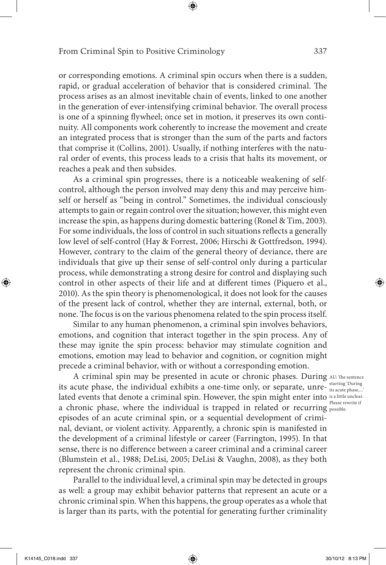or corresponding emotions. A criminal spin occurs when there is a sudden, rapid, or gradual acceleration of behavior that is considered criminal. The process arises as an almost inevitable chain of events, linked to one another in the generation of ever-intensifying criminal behavior. The overall process is one of a spinning flywheel; once set in motion, it preserves its own continuity. All components work coherently to increase the movement and create an integrated process that is stronger than the sum of the parts and factors that comprise it (Collins, 2001). Usually, if nothing interferes with the natural order of events, this process leads to a crisis that halts its movement, or reaches a peak and then subsides.

 $\textcircled{\scriptsize{+}}$ 

As a criminal spin progresses, there is a noticeable weakening of selfcontrol, although the person involved may deny this and may perceive himself or herself as "being in control." Sometimes, the individual consciously attempts to gain or regain control over the situation; however, this might even increase the spin, as happens during domestic battering (Ronel & Tim, 2003). For some individuals, the loss of control in such situations reflects a generally low level of self-control (Hay & Forrest, 2006; Hirschi & Gottfredson, 1994). However, contrary to the claim of the general theory of deviance, there are individuals that give up their sense of self-control only during a particular process, while demonstrating a strong desire for control and displaying such control in other aspects of their life and at different times (Piquero et al., 2010). As the spin theory is phenomenological, it does not look for the causes of the present lack of control, whether they are internal, external, both, or none. The focus is on the various phenomena related to the spin process itself.

Similar to any human phenomenon, a criminal spin involves behaviors, emotions, and cognition that interact together in the spin process. Any of these may ignite the spin process: behavior may stimulate cognition and emotions, emotion may lead to behavior and cognition, or cognition might precede a criminal behavior, with or without a corresponding emotion.

A criminal spin may be presented in acute or chronic phases. During AU: The sentence its acute phase, the individual exhibits a one-time only, or separate, unre- $\frac{\text{starting During}}{\text{its acute phase, ...}}$ lated events that denote a criminal spin. However, the spin might enter into is a little unclear. a chronic phase, where the individual is trapped in related or recurring  $_{\text{possible}}$ . episodes of an acute criminal spin, or a sequential development of criminal, deviant, or violent activity. Apparently, a chronic spin is manifested in the development of a criminal lifestyle or career (Farrington, 1995). In that sense, there is no difference between a career criminal and a criminal career (Blumstein et al., 1988; DeLisi, 2005; DeLisi & Vaughn, 2008), as they both represent the chronic criminal spin.

Parallel to the individual level, a criminal spin may be detected in groups as well: a group may exhibit behavior patterns that represent an acute or a chronic criminal spin. When this happens, the group operates as a whole that is larger than its parts, with the potential for generating further criminality

Please rewrite if

⊕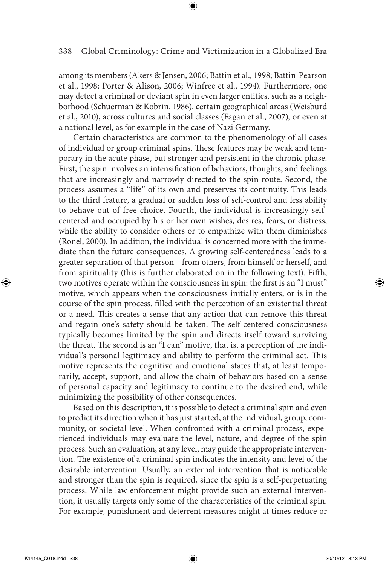$\textcircled{\scriptsize{+}}$ 

among its members (Akers & Jensen, 2006; Battin et al., 1998; Battin-Pearson et al., 1998; Porter & Alison, 2006; Winfree et al., 1994). Furthermore, one may detect a criminal or deviant spin in even larger entities, such as a neighborhood (Schuerman & Kobrin, 1986), certain geographical areas (Weisburd et al., 2010), across cultures and social classes (Fagan et al., 2007), or even at a national level, as for example in the case of Nazi Germany.

Certain characteristics are common to the phenomenology of all cases of individual or group criminal spins. These features may be weak and temporary in the acute phase, but stronger and persistent in the chronic phase. First, the spin involves an intensification of behaviors, thoughts, and feelings that are increasingly and narrowly directed to the spin route. Second, the process assumes a "life" of its own and preserves its continuity. This leads to the third feature, a gradual or sudden loss of self-control and less ability to behave out of free choice. Fourth, the individual is increasingly selfcentered and occupied by his or her own wishes, desires, fears, or distress, while the ability to consider others or to empathize with them diminishes (Ronel, 2000). In addition, the individual is concerned more with the immediate than the future consequences. A growing self-centeredness leads to a greater separation of that person—from others, from himself or herself, and from spirituality (this is further elaborated on in the following text). Fifth, two motives operate within the consciousness in spin: the first is an "I must" motive, which appears when the consciousness initially enters, or is in the course of the spin process, filled with the perception of an existential threat or a need. This creates a sense that any action that can remove this threat and regain one's safety should be taken. The self-centered consciousness typically becomes limited by the spin and directs itself toward surviving the threat. The second is an "I can" motive, that is, a perception of the individual's personal legitimacy and ability to perform the criminal act. This motive represents the cognitive and emotional states that, at least temporarily, accept, support, and allow the chain of behaviors based on a sense of personal capacity and legitimacy to continue to the desired end, while minimizing the possibility of other consequences.

Based on this description, it is possible to detect a criminal spin and even to predict its direction when it has just started, at the individual, group, community, or societal level. When confronted with a criminal process, experienced individuals may evaluate the level, nature, and degree of the spin process. Such an evaluation, at any level, may guide the appropriate intervention. The existence of a criminal spin indicates the intensity and level of the desirable intervention. Usually, an external intervention that is noticeable and stronger than the spin is required, since the spin is a self-perpetuating process. While law enforcement might provide such an external intervention, it usually targets only some of the characteristics of the criminal spin. For example, punishment and deterrent measures might at times reduce or

⊕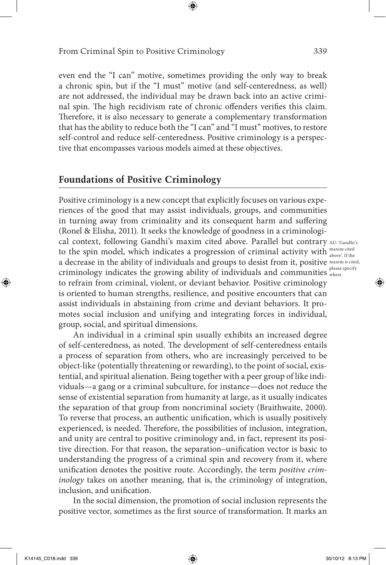even end the "I can" motive, sometimes providing the only way to break a chronic spin, but if the "I must" motive (and self-centeredness, as well) are not addressed, the individual may be drawn back into an active criminal spin. The high recidivism rate of chronic offenders verifies this claim. Therefore, it is also necessary to generate a complementary transformation that has the ability to reduce both the "I can" and "I must" motives, to restore self-control and reduce self-centeredness. Positive criminology is a perspective that encompasses various models aimed at these objectives.

⊕

#### **Foundations of Positive Criminology**

Positive criminology is a new concept that explicitly focuses on various experiences of the good that may assist individuals, groups, and communities in turning away from criminality and its consequent harm and suffering (Ronel & Elisha, 2011). It seeks the knowledge of goodness in a criminological context, following Gandhi's maxim cited above. Parallel but contrary AU: 'Gandhi's to the spin model, which indicates a progression of criminal activity with  $_{\rm above\it i}^{\rm maxim\it cited}$ a decrease in the ability of individuals and groups to desist from it, positive maxim is cited, criminology indicates the growing ability of individuals and communities where. to refrain from criminal, violent, or deviant behavior. Positive criminology is oriented to human strengths, resilience, and positive encounters that can assist individuals in abstaining from crime and deviant behaviors. It promotes social inclusion and unifying and integrating forces in individual, group, social, and spiritual dimensions.

An individual in a criminal spin usually exhibits an increased degree of self-centeredness, as noted. The development of self-centeredness entails a process of separation from others, who are increasingly perceived to be object-like (potentially threatening or rewarding), to the point of social, existential, and spiritual alienation. Being together with a peer group of like individuals—a gang or a criminal subculture, for instance—does not reduce the sense of existential separation from humanity at large, as it usually indicates the separation of that group from noncriminal society (Braithwaite, 2000). To reverse that process, an authentic unification, which is usually positively experienced, is needed. Therefore, the possibilities of inclusion, integration, and unity are central to positive criminology and, in fact, represent its positive direction. For that reason, the separation–unification vector is basic to understanding the progress of a criminal spin and recovery from it, where unification denotes the positive route. Accordingly, the term *positive criminology* takes on another meaning, that is, the criminology of integration, inclusion, and unification.

In the social dimension, the promotion of social inclusion represents the positive vector, sometimes as the first source of transformation. It marks an

↔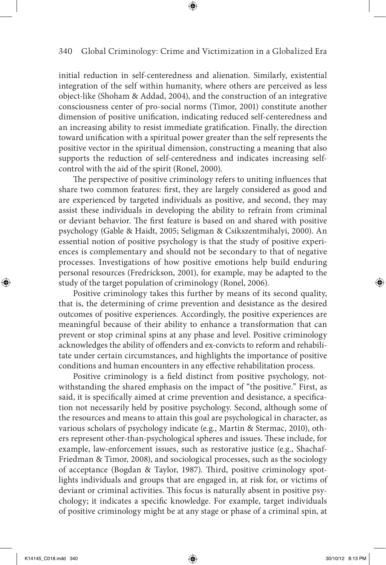$\textcircled{\scriptsize{+}}$ 

initial reduction in self-centeredness and alienation. Similarly, existential integration of the self within humanity, where others are perceived as less object-like (Shoham & Addad, 2004), and the construction of an integrative consciousness center of pro-social norms (Timor, 2001) constitute another dimension of positive unification, indicating reduced self-centeredness and an increasing ability to resist immediate gratification. Finally, the direction toward unification with a spiritual power greater than the self represents the positive vector in the spiritual dimension, constructing a meaning that also supports the reduction of self-centeredness and indicates increasing selfcontrol with the aid of the spirit (Ronel, 2000).

The perspective of positive criminology refers to uniting influences that share two common features: first, they are largely considered as good and are experienced by targeted individuals as positive, and second, they may assist these individuals in developing the ability to refrain from criminal or deviant behavior. The first feature is based on and shared with positive psychology (Gable & Haidt, 2005; Seligman & Csikszentmihalyi, 2000). An essential notion of positive psychology is that the study of positive experiences is complementary and should not be secondary to that of negative processes. Investigations of how positive emotions help build enduring personal resources (Fredrickson, 2001), for example, may be adapted to the study of the target population of criminology (Ronel, 2006).

Positive criminology takes this further by means of its second quality, that is, the determining of crime prevention and desistance as the desired outcomes of positive experiences. Accordingly, the positive experiences are meaningful because of their ability to enhance a transformation that can prevent or stop criminal spins at any phase and level. Positive criminology acknowledges the ability of offenders and ex-convicts to reform and rehabilitate under certain circumstances, and highlights the importance of positive conditions and human encounters in any effective rehabilitation process.

Positive criminology is a field distinct from positive psychology, notwithstanding the shared emphasis on the impact of "the positive." First, as said, it is specifically aimed at crime prevention and desistance, a specification not necessarily held by positive psychology. Second, although some of the resources and means to attain this goal are psychological in character, as various scholars of psychology indicate (e.g., Martin & Stermac, 2010), others represent other-than-psychological spheres and issues. These include, for example, law-enforcement issues, such as restorative justice (e.g., Shachaf-Friedman & Timor, 2008), and sociological processes, such as the sociology of acceptance (Bogdan & Taylor, 1987). Third, positive criminology spotlights individuals and groups that are engaged in, at risk for, or victims of deviant or criminal activities. This focus is naturally absent in positive psychology; it indicates a specific knowledge. For example, target individuals of positive criminology might be at any stage or phase of a criminal spin, at

⊕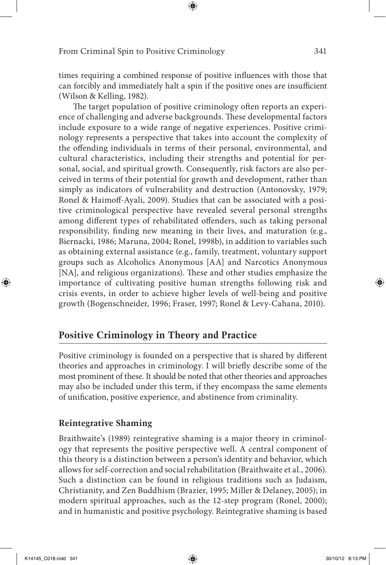times requiring a combined response of positive influences with those that can forcibly and immediately halt a spin if the positive ones are insufficient (Wilson & Kelling, 1982).

 $\bigoplus$ 

The target population of positive criminology often reports an experience of challenging and adverse backgrounds. These developmental factors include exposure to a wide range of negative experiences. Positive criminology represents a perspective that takes into account the complexity of the offending individuals in terms of their personal, environmental, and cultural characteristics, including their strengths and potential for personal, social, and spiritual growth. Consequently, risk factors are also perceived in terms of their potential for growth and development, rather than simply as indicators of vulnerability and destruction (Antonovsky, 1979; Ronel & Haimoff-Ayali, 2009). Studies that can be associated with a positive criminological perspective have revealed several personal strengths among different types of rehabilitated offenders, such as taking personal responsibility, finding new meaning in their lives, and maturation (e.g., Biernacki, 1986; Maruna, 2004; Ronel, 1998b), in addition to variables such as obtaining external assistance (e.g., family, treatment, voluntary support groups such as Alcoholics Anonymous [AA] and Narcotics Anonymous [NA], and religious organizations). These and other studies emphasize the importance of cultivating positive human strengths following risk and crisis events, in order to achieve higher levels of well-being and positive growth (Bogenschneider, 1996; Fraser, 1997; Ronel & Levy-Cahana, 2010).

# **Positive Criminology in Theory and Practice**

Positive criminology is founded on a perspective that is shared by different theories and approaches in criminology. I will briefly describe some of the most prominent of these. It should be noted that other theories and approaches may also be included under this term, if they encompass the same elements of unification, positive experience, and abstinence from criminality.

#### **Reintegrative Shaming**

Braithwaite's (1989) reintegrative shaming is a major theory in criminology that represents the positive perspective well. A central component of this theory is a distinction between a person's identity and behavior, which allows for self-correction and social rehabilitation (Braithwaite et al., 2006). Such a distinction can be found in religious traditions such as Judaism, Christianity, and Zen Buddhism (Brazier, 1995; Miller & Delaney, 2005); in modern spiritual approaches, such as the 12-step program (Ronel, 2000); and in humanistic and positive psychology. Reintegrative shaming is based

⊕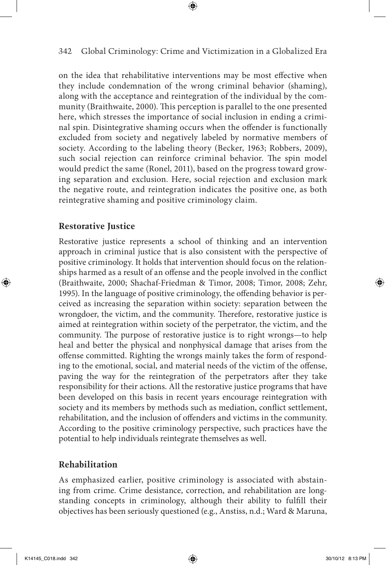⊕

on the idea that rehabilitative interventions may be most effective when they include condemnation of the wrong criminal behavior (shaming), along with the acceptance and reintegration of the individual by the community (Braithwaite, 2000). This perception is parallel to the one presented here, which stresses the importance of social inclusion in ending a criminal spin. Disintegrative shaming occurs when the offender is functionally excluded from society and negatively labeled by normative members of society. According to the labeling theory (Becker, 1963; Robbers, 2009), such social rejection can reinforce criminal behavior. The spin model would predict the same (Ronel, 2011), based on the progress toward growing separation and exclusion. Here, social rejection and exclusion mark the negative route, and reintegration indicates the positive one, as both reintegrative shaming and positive criminology claim.

#### **Restorative Justice**

Restorative justice represents a school of thinking and an intervention approach in criminal justice that is also consistent with the perspective of positive criminology. It holds that intervention should focus on the relationships harmed as a result of an offense and the people involved in the conflict (Braithwaite, 2000; Shachaf-Friedman & Timor, 2008; Timor, 2008; Zehr, 1995). In the language of positive criminology, the offending behavior is perceived as increasing the separation within society: separation between the wrongdoer, the victim, and the community. Therefore, restorative justice is aimed at reintegration within society of the perpetrator, the victim, and the community. The purpose of restorative justice is to right wrongs—to help heal and better the physical and nonphysical damage that arises from the offense committed. Righting the wrongs mainly takes the form of responding to the emotional, social, and material needs of the victim of the offense, paving the way for the reintegration of the perpetrators after they take responsibility for their actions. All the restorative justice programs that have been developed on this basis in recent years encourage reintegration with society and its members by methods such as mediation, conflict settlement, rehabilitation, and the inclusion of offenders and victims in the community. According to the positive criminology perspective, such practices have the potential to help individuals reintegrate themselves as well.

#### **Rehabilitation**

As emphasized earlier, positive criminology is associated with abstaining from crime. Crime desistance, correction, and rehabilitation are longstanding concepts in criminology, although their ability to fulfill their objectives has been seriously questioned (e.g., Anstiss, n.d.; Ward & Maruna,

⊕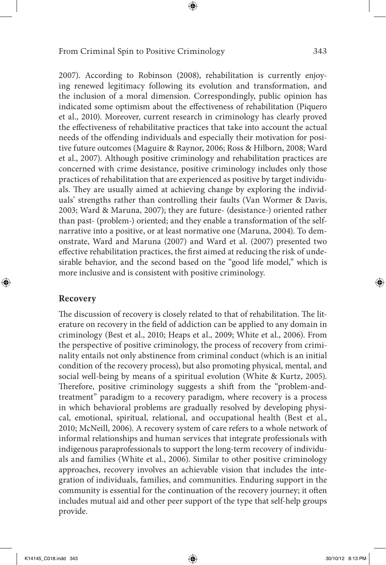2007). According to Robinson (2008), rehabilitation is currently enjoying renewed legitimacy following its evolution and transformation, and the inclusion of a moral dimension. Correspondingly, public opinion has indicated some optimism about the effectiveness of rehabilitation (Piquero et al., 2010). Moreover, current research in criminology has clearly proved the effectiveness of rehabilitative practices that take into account the actual needs of the offending individuals and especially their motivation for positive future outcomes (Maguire & Raynor, 2006; Ross & Hilborn, 2008; Ward et al., 2007). Although positive criminology and rehabilitation practices are concerned with crime desistance, positive criminology includes only those practices of rehabilitation that are experienced as positive by target individuals. They are usually aimed at achieving change by exploring the individuals' strengths rather than controlling their faults (Van Wormer & Davis, 2003; Ward & Maruna, 2007); they are future- (desistance-) oriented rather than past- (problem-) oriented; and they enable a transformation of the selfnarrative into a positive, or at least normative one (Maruna, 2004). To demonstrate, Ward and Maruna (2007) and Ward et al. (2007) presented two effective rehabilitation practices, the first aimed at reducing the risk of undesirable behavior, and the second based on the "good life model," which is more inclusive and is consistent with positive criminology.

 $\textcircled{\scriptsize{+}}$ 

#### **Recovery**

⊕

The discussion of recovery is closely related to that of rehabilitation. The literature on recovery in the field of addiction can be applied to any domain in criminology (Best et al., 2010; Heaps et al., 2009; White et al., 2006). From the perspective of positive criminology, the process of recovery from criminality entails not only abstinence from criminal conduct (which is an initial condition of the recovery process), but also promoting physical, mental, and social well-being by means of a spiritual evolution (White & Kurtz, 2005). Therefore, positive criminology suggests a shift from the "problem-andtreatment" paradigm to a recovery paradigm, where recovery is a process in which behavioral problems are gradually resolved by developing physical, emotional, spiritual, relational, and occupational health (Best et al., 2010; McNeill, 2006). A recovery system of care refers to a whole network of informal relationships and human services that integrate professionals with indigenous paraprofessionals to support the long-term recovery of individuals and families (White et al., 2006). Similar to other positive criminology approaches, recovery involves an achievable vision that includes the integration of individuals, families, and communities. Enduring support in the community is essential for the continuation of the recovery journey; it often includes mutual aid and other peer support of the type that self-help groups provide.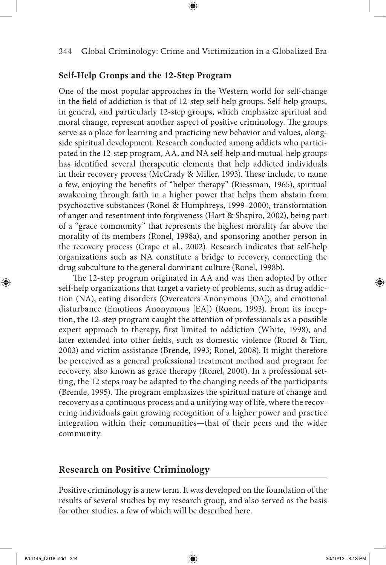$\textcircled{\scriptsize{+}}$ 

#### **Self-Help Groups and the 12-Step Program**

One of the most popular approaches in the Western world for self-change in the field of addiction is that of 12-step self-help groups. Self-help groups, in general, and particularly 12-step groups, which emphasize spiritual and moral change, represent another aspect of positive criminology. The groups serve as a place for learning and practicing new behavior and values, alongside spiritual development. Research conducted among addicts who participated in the 12-step program, AA, and NA self-help and mutual-help groups has identified several therapeutic elements that help addicted individuals in their recovery process (McCrady & Miller, 1993). These include, to name a few, enjoying the benefits of "helper therapy" (Riessman, 1965), spiritual awakening through faith in a higher power that helps them abstain from psychoactive substances (Ronel & Humphreys, 1999–2000), transformation of anger and resentment into forgiveness (Hart & Shapiro, 2002), being part of a "grace community" that represents the highest morality far above the morality of its members (Ronel, 1998a), and sponsoring another person in the recovery process (Crape et al., 2002). Research indicates that self-help organizations such as NA constitute a bridge to recovery, connecting the drug subculture to the general dominant culture (Ronel, 1998b).

The 12-step program originated in AA and was then adopted by other self-help organizations that target a variety of problems, such as drug addiction (NA), eating disorders (Overeaters Anonymous [OA]), and emotional disturbance (Emotions Anonymous [EA]) (Room, 1993). From its inception, the 12-step program caught the attention of professionals as a possible expert approach to therapy, first limited to addiction (White, 1998), and later extended into other fields, such as domestic violence (Ronel & Tim, 2003) and victim assistance (Brende, 1993; Ronel, 2008). It might therefore be perceived as a general professional treatment method and program for recovery, also known as grace therapy (Ronel, 2000). In a professional setting, the 12 steps may be adapted to the changing needs of the participants (Brende, 1995). The program emphasizes the spiritual nature of change and recovery as a continuous process and a unifying way of life, where the recovering individuals gain growing recognition of a higher power and practice integration within their communities—that of their peers and the wider community.

#### **Research on Positive Criminology**

Positive criminology is a new term. It was developed on the foundation of the results of several studies by my research group, and also served as the basis for other studies, a few of which will be described here.

⊕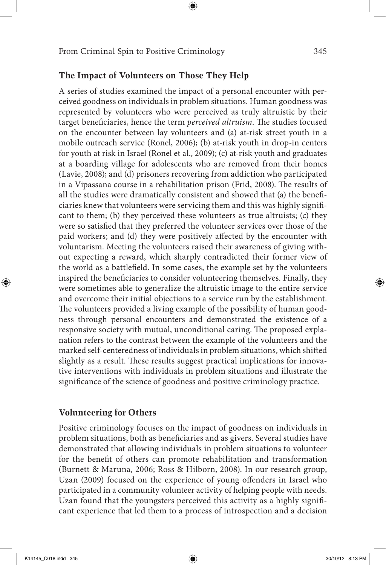#### **The Impact of Volunteers on Those They Help**

A series of studies examined the impact of a personal encounter with perceived goodness on individuals in problem situations. Human goodness was represented by volunteers who were perceived as truly altruistic by their target beneficiaries, hence the term *perceived altruism*. The studies focused on the encounter between lay volunteers and (a) at-risk street youth in a mobile outreach service (Ronel, 2006); (b) at-risk youth in drop-in centers for youth at risk in Israel (Ronel et al., 2009); (c) at-risk youth and graduates at a boarding village for adolescents who are removed from their homes (Lavie, 2008); and (d) prisoners recovering from addiction who participated in a Vipassana course in a rehabilitation prison (Frid, 2008). The results of all the studies were dramatically consistent and showed that (a) the beneficiaries knew that volunteers were servicing them and this was highly significant to them; (b) they perceived these volunteers as true altruists; (c) they were so satisfied that they preferred the volunteer services over those of the paid workers; and (d) they were positively affected by the encounter with voluntarism. Meeting the volunteers raised their awareness of giving without expecting a reward, which sharply contradicted their former view of the world as a battlefield. In some cases, the example set by the volunteers inspired the beneficiaries to consider volunteering themselves. Finally, they were sometimes able to generalize the altruistic image to the entire service and overcome their initial objections to a service run by the establishment. The volunteers provided a living example of the possibility of human goodness through personal encounters and demonstrated the existence of a responsive society with mutual, unconditional caring. The proposed explanation refers to the contrast between the example of the volunteers and the marked self-centeredness of individuals in problem situations, which shifted slightly as a result. These results suggest practical implications for innovative interventions with individuals in problem situations and illustrate the significance of the science of goodness and positive criminology practice.

 $\textcircled{\scriptsize{+}}$ 

#### **Volunteering for Others**

Positive criminology focuses on the impact of goodness on individuals in problem situations, both as beneficiaries and as givers. Several studies have demonstrated that allowing individuals in problem situations to volunteer for the benefit of others can promote rehabilitation and transformation (Burnett & Maruna, 2006; Ross & Hilborn, 2008). In our research group, Uzan (2009) focused on the experience of young offenders in Israel who participated in a community volunteer activity of helping people with needs. Uzan found that the youngsters perceived this activity as a highly significant experience that led them to a process of introspection and a decision

⊕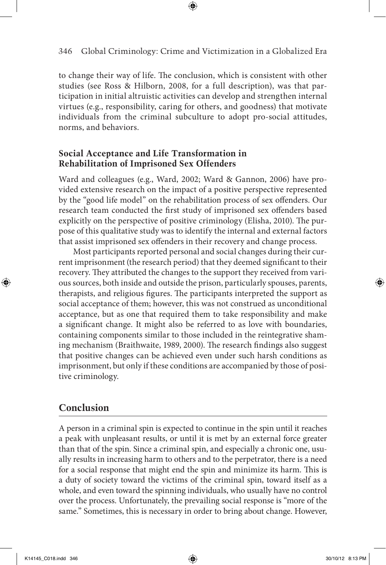$\textcircled{\scriptsize{+}}$ 

to change their way of life. The conclusion, which is consistent with other studies (see Ross & Hilborn, 2008, for a full description), was that participation in initial altruistic activities can develop and strengthen internal virtues (e.g., responsibility, caring for others, and goodness) that motivate individuals from the criminal subculture to adopt pro-social attitudes, norms, and behaviors.

## **Social Acceptance and Life Transformation in Rehabilitation of Imprisoned Sex Offenders**

Ward and colleagues (e.g., Ward, 2002; Ward & Gannon, 2006) have provided extensive research on the impact of a positive perspective represented by the "good life model" on the rehabilitation process of sex offenders. Our research team conducted the first study of imprisoned sex offenders based explicitly on the perspective of positive criminology (Elisha, 2010). The purpose of this qualitative study was to identify the internal and external factors that assist imprisoned sex offenders in their recovery and change process.

Most participants reported personal and social changes during their current imprisonment (the research period) that they deemed significant to their recovery. They attributed the changes to the support they received from various sources, both inside and outside the prison, particularly spouses, parents, therapists, and religious figures. The participants interpreted the support as social acceptance of them; however, this was not construed as unconditional acceptance, but as one that required them to take responsibility and make a significant change. It might also be referred to as love with boundaries, containing components similar to those included in the reintegrative shaming mechanism (Braithwaite, 1989, 2000). The research findings also suggest that positive changes can be achieved even under such harsh conditions as imprisonment, but only if these conditions are accompanied by those of positive criminology.

#### **Conclusion**

A person in a criminal spin is expected to continue in the spin until it reaches a peak with unpleasant results, or until it is met by an external force greater than that of the spin. Since a criminal spin, and especially a chronic one, usually results in increasing harm to others and to the perpetrator, there is a need for a social response that might end the spin and minimize its harm. This is a duty of society toward the victims of the criminal spin, toward itself as a whole, and even toward the spinning individuals, who usually have no control over the process. Unfortunately, the prevailing social response is "more of the same." Sometimes, this is necessary in order to bring about change. However,

⊕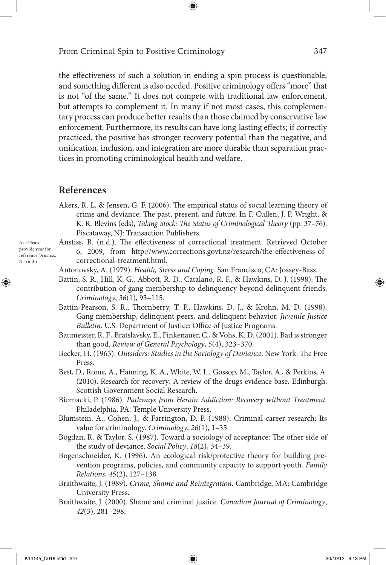the effectiveness of such a solution in ending a spin process is questionable, and something different is also needed. Positive criminology offers "more" that is not "of the same." It does not compete with traditional law enforcement, but attempts to complement it. In many if not most cases, this complementary process can produce better results than those claimed by conservative law enforcement. Furthermore, its results can have long-lasting effects; if correctly practiced, the positive has stronger recovery potential than the negative, and unification, inclusion, and integration are more durable than separation practices in promoting criminological health and welfare.

⊕

### **References**

Akers, R. L. & Jensen, G. F. (2006). The empirical status of social learning theory of crime and deviance: The past, present, and future. In F. Cullen, J. P. Wright, & K. R. Blevins (eds), *Taking Stock: The Status of Criminological Theory* (pp. 37–76). Piscataway, NJ: Transaction Publishers.

Anstiss, B. (n.d.). The effectiveness of correctional treatment. Retrieved October 6, 2009, from http://www.corrections.govt.nz/research/the-effectiveness-ofcorrectional-treatment.html. reference "Anstiss,

- Antonovsky, A. (1979). *Health, Stress and Coping*. San Francisco, CA: Jossey-Bass.
- Battin, S. R., Hill, K. G., Abbott, R. D., Catalano, R. F., & Hawkins, D. J. (1998). The contribution of gang membership to delinquency beyond delinquent friends. *Criminology*, *36*(1), 93–115.
- Battin-Pearson, S. R., Thornberry, T. P., Hawkins, D. J., & Krohn, M. D. (1998). Gang membership, delinquent peers, and delinquent behavior. *Juvenile Justice Bulletin*. U.S. Department of Justice: Office of Justice Programs.
- Baumeister, R. F., Bratslavsky, E., Finkenauer, C., & Vohs, K. D. (2001). Bad is stronger than good. *Review of General Psychology*, *5*(4), 323–370.
- Becker, H. (1963). *Outsiders: Studies in the Sociology of Deviance*. New York: The Free Press.
- Best, D., Rome, A., Hanning, K. A., White, W. L., Gossop, M., Taylor, A., & Perkins, A. (2010). Research for recovery: A review of the drugs evidence base*.* Edinburgh: Scottish Government Social Research.
- Biernacki, P. (1986). *Pathways from Heroin Addiction: Recovery without Treatment*. Philadelphia, PA: Temple University Press.
- Blumstein, A., Cohen, J., & Farrington, D. P. (1988). Criminal career research: Its value for criminology. *Criminology*, *26*(1), 1–35.
- Bogdan, R. & Taylor, S. (1987). Toward a sociology of acceptance: The other side of the study of deviance. *Social Policy*, *18*(2), 34–39.
- Bogenschneider, K. (1996). An ecological risk/protective theory for building prevention programs, policies, and community capacity to support youth. *Family Relations*, *45*(2), 127–138.
- Braithwaite, J. (1989). *Crime, Shame and Reintegration*. Cambridge, MA: Cambridge University Press.
- Braithwaite, J. (2000). Shame and criminal justice. *Canadian Journal of Criminology*, *42*(3), 281–298.

⊕

⊕

AU: Please provide year for

B. "(n.d.)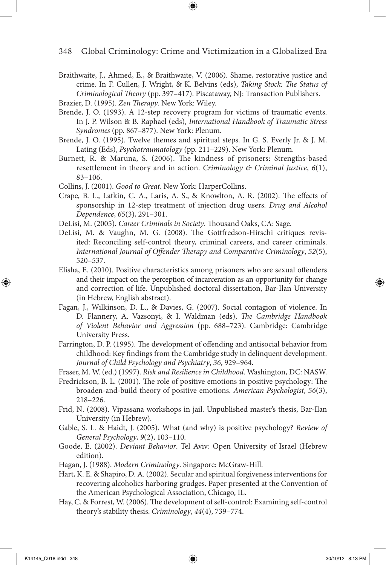⊕

Braithwaite, J., Ahmed, E., & Braithwaite, V. (2006). Shame, restorative justice and crime. In F. Cullen, J. Wright, & K. Belvins (eds), *Taking Stock: The Status of Criminological Theory* (pp. 397–417). Piscataway, NJ: Transaction Publishers.

Brazier, D. (1995). *Zen Therapy*. New York: Wiley.

- Brende, J. O. (1993). A 12-step recovery program for victims of traumatic events. In J. P. Wilson & B. Raphael (eds), *International Handbook of Traumatic Stress Syndromes* (pp. 867–877). New York: Plenum.
- Brende, J. O. (1995). Twelve themes and spiritual steps. In G. S. Everly Jr. & J. M. Lating (Eds), *Psychotraumatology* (pp. 211–229). New York: Plenum.
- Burnett, R. & Maruna, S. (2006). The kindness of prisoners: Strengths-based resettlement in theory and in action. *Criminology & Criminal Justice*, *6*(1), 83–106.
- Collins, J. (2001). *Good to Great*. New York: HarperCollins.
- Crape, B. L., Latkin, C. A., Laris, A. S., & Knowlton, A. R. (2002). The effects of sponsorship in 12-step treatment of injection drug users. *Drug and Alcohol Dependence*, *65*(3), 291–301.
- DeLisi, M. (2005). *Career Criminals in Society*. Thousand Oaks, CA: Sage.
- DeLisi, M. & Vaughn, M. G. (2008). The Gottfredson-Hirschi critiques revisited: Reconciling self-control theory, criminal careers, and career criminals. *International Journal of Offender Therapy and Comparative Criminology*, *52*(5), 520–537.
- Elisha, E. (2010). Positive characteristics among prisoners who are sexual offenders and their impact on the perception of incarceration as an opportunity for change and correction of life. Unpublished doctoral dissertation, Bar-Ilan University (in Hebrew, English abstract).
- Fagan, J., Wilkinson, D. L., & Davies, G. (2007). Social contagion of violence. In D. Flannery, A. Vazsonyi, & I. Waldman (eds), *The Cambridge Handbook of Violent Behavior and Aggression* (pp. 688–723). Cambridge: Cambridge University Press.
- Farrington, D. P. (1995). The development of offending and antisocial behavior from childhood: Key findings from the Cambridge study in delinquent development. *Journal of Child Psychology and Psychiatry*, *36*, 929–964.

Fraser, M. W. (ed.) (1997). *Risk and Resilience in Childhood*. Washington, DC: NASW.

- Fredrickson, B. L. (2001). The role of positive emotions in positive psychology: The broaden-and-build theory of positive emotions. *American Psychologist*, *56*(3), 218–226.
- Frid, N. (2008). Vipassana workshops in jail. Unpublished master's thesis, Bar-Ilan University (in Hebrew).
- Gable, S. L. & Haidt, J. (2005). What (and why) is positive psychology? *Review of General Psychology*, *9*(2), 103–110.
- Goode, E. (2002). *Deviant Behavior*. Tel Aviv: Open University of Israel (Hebrew edition).
- Hagan, J. (1988). *Modern Criminology*. Singapore: McGraw-Hill.
- Hart, K. E. & Shapiro, D. A. (2002). Secular and spiritual forgiveness interventions for recovering alcoholics harboring grudges. Paper presented at the Convention of the American Psychological Association, Chicago, IL.
- Hay, C. & Forrest, W. (2006). The development of self-control: Examining self-control theory's stability thesis. *Criminology*, *44*(4), 739–774.

⊕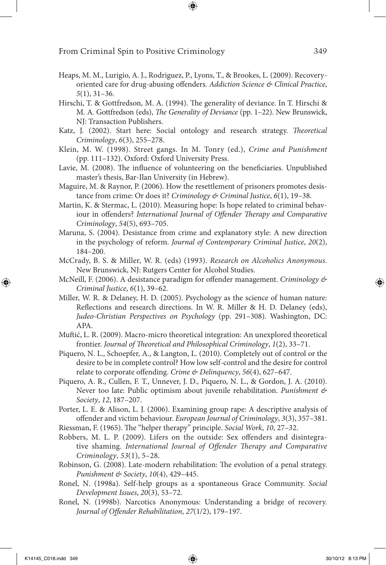Heaps, M. M., Lurigio, A. J., Rodriguez, P., Lyons, T., & Brookes, L. (2009). Recoveryoriented care for drug-abusing offenders. *Addiction Science & Clinical Practice*, *5*(1), 31–36.

⊕

- Hirschi, T. & Gottfredson, M. A. (1994). The generality of deviance. In T. Hirschi & M. A. Gottfredson (eds), *The Generality of Deviance* (pp. 1–22). New Brunswick, NJ: Transaction Publishers.
- Katz, J. (2002). Start here: Social ontology and research strategy. *Theoretical Criminology*, *6*(3), 255–278.
- Klein, M. W. (1998). Street gangs. In M. Tonry (ed.), *Crime and Punishment* (pp. 111–132). Oxford: Oxford University Press.
- Lavie, M*.* (2008). The influence of volunteering on the beneficiaries. Unpublished master's thesis, Bar-Ilan University (in Hebrew).
- Maguire, M. & Raynor, P. (2006). How the resettlement of prisoners promotes desistance from crime: Or does it? *Criminology & Criminal Justice*, *6*(1), 19–38.
- Martin, K. & Stermac, L. (2010). Measuring hope: Is hope related to criminal behaviour in offenders? *International Journal of Offender Therapy and Comparative Criminology*, *54*(5), 693–705.
- Maruna, S. (2004). Desistance from crime and explanatory style: A new direction in the psychology of reform. *Journal of Contemporary Criminal Justice*, *20*(2), 184–200.
- McCrady, B. S. & Miller, W. R. (eds) (1993). *Research on Alcoholics Anonymous*. New Brunswick, NJ: Rutgers Center for Alcohol Studies.
- McNeill, F. (2006). A desistance paradigm for offender management. *Criminology & Criminal Justice*, *6*(1), 39–62.
- Miller, W. R. & Delaney, H. D. (2005). Psychology as the science of human nature: Reflections and research directions. In W. R. Miller & H. D. Delaney (eds), *Judeo-Christian Perspectives on Psychology* (pp. 291–308). Washington, DC: APA.
- Muftić, L. R. (2009). Macro-micro theoretical integration: An unexplored theoretical frontier. *Journal of Theoretical and Philosophical Criminology*, *1*(2), 33–71.
- Piquero, N. L., Schoepfer, A., & Langton, L. (2010). Completely out of control or the desire to be in complete control? How low self-control and the desire for control relate to corporate offending. *Crime & Delinquency*, *56*(4), 627–647.
- Piquero, A. R., Cullen, F. T., Unnever, J. D., Piquero, N. L., & Gordon, J. A. (2010). Never too late: Public optimism about juvenile rehabilitation. *Punishment & Society*, *12*, 187–207.
- Porter, L. E. & Alison, L. J. (2006). Examining group rape: A descriptive analysis of offender and victim behaviour. *European Journal of Criminology*, *3*(3), 357–381.
- Riessman, F. (1965). The "helper therapy" principle. *Social Work*, *10*, 27–32.
- Robbers, M. L. P. (2009). Lifers on the outside: Sex offenders and disintegrative shaming. *International Journal of Offender Therapy and Comparative Criminology*, *53*(1), 5–28.
- Robinson, G. (2008). Late-modern rehabilitation: The evolution of a penal strategy. *Punishment & Society*, *10*(4), 429–445.
- Ronel, N. (1998a). Self-help groups as a spontaneous Grace Community. *Social Development Issues*, *20*(3), 53–72.
- Ronel, N. (1998b). Narcotics Anonymous: Understanding a bridge of recovery. *Journal of Offender Rehabilitation*, *27*(1/2), 179–197.

⊕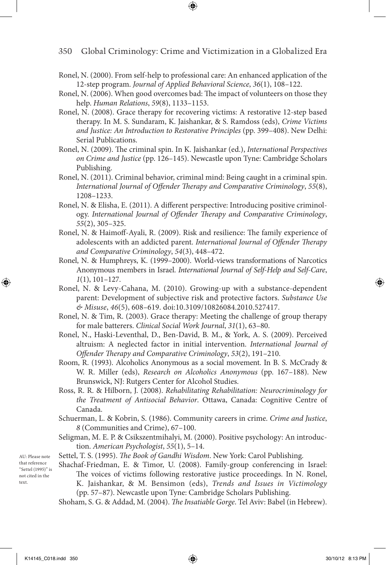- Ronel, N. (2000). From self-help to professional care: An enhanced application of the 12-step program. *Journal of Applied Behavioral Science*, *36*(1), 108–122.
- Ronel, N. (2006). When good overcomes bad: The impact of volunteers on those they help. *Human Relations*, *59*(8), 1133–1153.
- Ronel, N. (2008). Grace therapy for recovering victims: A restorative 12-step based therapy. In M. S. Sundaram, K. Jaishankar, & S. Ramdoss (eds), *Crime Victims and Justice: An Introduction to Restorative Principles* (pp. 399–408). New Delhi: Serial Publications.
- Ronel, N. (2009). The criminal spin. In K. Jaishankar (ed.), *International Perspectives on Crime and Justice* (pp. 126–145). Newcastle upon Tyne: Cambridge Scholars Publishing.
- Ronel, N. (2011). Criminal behavior, criminal mind: Being caught in a criminal spin. *International Journal of Offender Therapy and Comparative Criminology*, *55*(8), 1208–1233.
- Ronel, N. & Elisha, E. (2011). A different perspective: Introducing positive criminology. *International Journal of Offender Therapy and Comparative Criminology*, *55*(2), 305–325.
- Ronel, N. & Haimoff-Ayali, R. (2009). Risk and resilience: The family experience of adolescents with an addicted parent. *International Journal of Offender Therapy and Comparative Criminology*, *54*(3), 448–472.
- Ronel, N. & Humphreys, K. (1999–2000). World-views transformations of Narcotics Anonymous members in Israel. *International Journal of Self-Help and Self-Care*, *1*(1), 101–127.
- Ronel, N. & Levy-Cahana, M. (2010). Growing-up with a substance-dependent parent: Development of subjective risk and protective factors. *Substance Use & Misuse*, *46*(5), 608–619. doi:10.3109/10826084.2010.527417.
- Ronel, N. & Tim, R. (2003). Grace therapy: Meeting the challenge of group therapy for male batterers. *Clinical Social Work Journal*, *31*(1), 63–80.
- Ronel, N., Haski-Leventhal, D., Ben-David, B. M., & York, A. S. (2009). Perceived altruism: A neglected factor in initial intervention. *International Journal of Offender Therapy and Comparative Criminology*, *53*(2), 191–210.
- Room, R. (1993). Alcoholics Anonymous as a social movement. In B. S. McCrady & W. R. Miller (eds), *Research on Alcoholics Anonymous* (pp. 167–188). New Brunswick, NJ: Rutgers Center for Alcohol Studies.
- Ross, R. R. & Hilborn, J. (2008). *Rehabilitating Rehabilitation: Neurocriminology for the Treatment of Antisocial Behavior*. Ottawa, Canada: Cognitive Centre of Canada.
- Schuerman, L. & Kobrin, S. (1986). Community careers in crime. *Crime and Justice*, *8* (Communities and Crime), 67–100.
- Seligman, M. E. P. & Csikszentmihalyi, M. (2000). Positive psychology: An introduction. *American Psychologist*, *55*(1), 5–14.
- Settel, T. S. (1995). *The Book of Gandhi Wisdom*. New York: Carol Publishing.

Shachaf-Friedman, E. & Timor, U. (2008). Family-group conferencing in Israel: The voices of victims following restorative justice proceedings. In N. Ronel, K. Jaishankar, & M. Bensimon (eds), *Trends and Issues in Victimology* (pp. 57–87). Newcastle upon Tyne: Cambridge Scholars Publishing.

Shoham, S. G. & Addad, M. (2004). *The Insatiable Gorge*. Tel Aviv: Babel (in Hebrew).

AU: Please note that reference "Settel (1995)" is not cited in the text.

⊕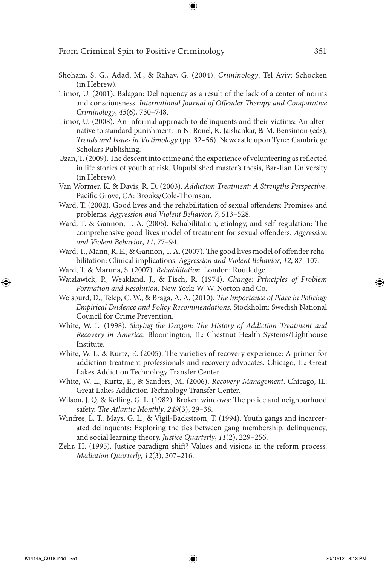Shoham, S. G., Adad, M., & Rahav, G. (2004). *Criminology*. Tel Aviv: Schocken (in Hebrew).

⊕

- Timor, U. (2001). Balagan: Delinquency as a result of the lack of a center of norms and consciousness. *International Journal of Offender Therapy and Comparative Criminology*, *45*(6), 730–748.
- Timor, U. (2008). An informal approach to delinquents and their victims: An alternative to standard punishment. In N. Ronel, K. Jaishankar, & M. Bensimon (eds), *Trends and Issues in Victimology* (pp. 32–56). Newcastle upon Tyne: Cambridge Scholars Publishing.
- Uzan, T. (2009). The descent into crime and the experience of volunteering as reflected in life stories of youth at risk*.* Unpublished master's thesis, Bar-Ilan University (in Hebrew).
- Van Wormer, K. & Davis, R. D. (2003). *Addiction Treatment: A Strengths Perspective*. Pacific Grove, CA: Brooks/Cole-Thomson.
- Ward, T. (2002). Good lives and the rehabilitation of sexual offenders: Promises and problems. *Aggression and Violent Behavior*, *7*, 513–528.
- Ward, T. & Gannon, T. A. (2006). Rehabilitation, etiology, and self-regulation: The comprehensive good lives model of treatment for sexual offenders. *Aggression and Violent Behavior*, *11*, 77–94.
- Ward, T., Mann, R. E., & Gannon, T. A. (2007). The good lives model of offender rehabilitation: Clinical implications. *Aggression and Violent Behavior*, *12*, 87–107.
- Ward, T. & Maruna, S. (2007). *Rehabilitation*. London: Routledge.
- Watzlawick, P., Weakland, J., & Fisch, R. (1974). *Change: Principles of Problem Formation and Resolution*. New York: W. W. Norton and Co.
- Weisburd, D., Telep, C. W., & Braga, A. A. (2010). *The Importance of Place in Policing: Empirical Evidence and Policy Recommendations*. Stockholm: Swedish National Council for Crime Prevention.
- White, W. L. (1998). *Slaying the Dragon: The History of Addiction Treatment and Recovery in America*. Bloomington, IL: Chestnut Health Systems/Lighthouse Institute.
- White, W. L. & Kurtz, E. (2005). The varieties of recovery experience: A primer for addiction treatment professionals and recovery advocates. Chicago, IL: Great Lakes Addiction Technology Transfer Center.
- White, W. L., Kurtz, E., & Sanders, M. (2006). *Recovery Management*. Chicago, IL: Great Lakes Addiction Technology Transfer Center.
- Wilson, J. Q. & Kelling, G. L. (1982). Broken windows: The police and neighborhood safety. *The Atlantic Monthly*, *249*(3), 29–38.
- Winfree, L. T., Mays, G. L., & Vigil-Backstrom, T. (1994). Youth gangs and incarcerated delinquents: Exploring the ties between gang membership, delinquency, and social learning theory. *Justice Quarterly*, *11*(2), 229–256.
- Zehr, H. (1995). Justice paradigm shift? Values and visions in the reform process. *Mediation Quarterly*, *12*(3), 207–216.

⊕